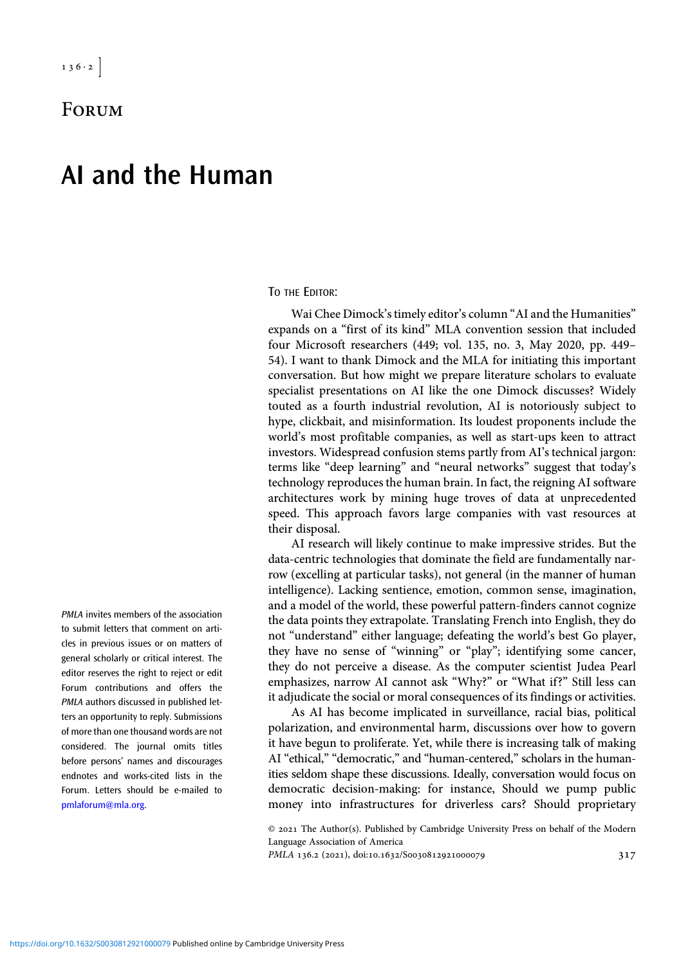**FORUM** 

## AI and the Human

TO THE EDITOR:

Wai Chee Dimock's timely editor's column "AI and the Humanities" expands on a "first of its kind" MLA convention session that included four Microsoft researchers (449; vol. 135, no. 3, May 2020, pp. 449– 54). I want to thank Dimock and the MLA for initiating this important conversation. But how might we prepare literature scholars to evaluate specialist presentations on AI like the one Dimock discusses? Widely touted as a fourth industrial revolution, AI is notoriously subject to hype, clickbait, and misinformation. Its loudest proponents include the world's most profitable companies, as well as start-ups keen to attract investors. Widespread confusion stems partly from AI's technical jargon: terms like "deep learning" and "neural networks" suggest that today's technology reproduces the human brain. In fact, the reigning AI software architectures work by mining huge troves of data at unprecedented speed. This approach favors large companies with vast resources at their disposal.

AI research will likely continue to make impressive strides. But the data-centric technologies that dominate the field are fundamentally narrow (excelling at particular tasks), not general (in the manner of human intelligence). Lacking sentience, emotion, common sense, imagination, and a model of the world, these powerful pattern-finders cannot cognize the data points they extrapolate. Translating French into English, they do not "understand" either language; defeating the world's best Go player, they have no sense of "winning" or "play"; identifying some cancer, they do not perceive a disease. As the computer scientist Judea Pearl emphasizes, narrow AI cannot ask "Why?" or "What if?" Still less can it adjudicate the social or moral consequences of its findings or activities.

As AI has become implicated in surveillance, racial bias, political polarization, and environmental harm, discussions over how to govern it have begun to proliferate. Yet, while there is increasing talk of making AI "ethical," "democratic," and "human-centered," scholars in the humanities seldom shape these discussions. Ideally, conversation would focus on democratic decision-making: for instance, Should we pump public money into infrastructures for driverless cars? Should proprietary

 $© 2021$  The Author(s). Published by Cambridge University Press on behalf of the Modern Language Association of America

PMLA 136.2 (2021), doi:10.1632/S0030812921000079 317

PMLA invites members of the association to submit letters that comment on articles in previous issues or on matters of general scholarly or critical interest. The editor reserves the right to reject or edit Forum contributions and offers the PMLA authors discussed in published letters an opportunity to reply. Submissions of more than one thousand words are not considered. The journal omits titles before persons' names and discourages endnotes and works-cited lists in the Forum. Letters should be e-mailed to [pmlaforum@mla.org.](mailto:pmlaforum@mla.org)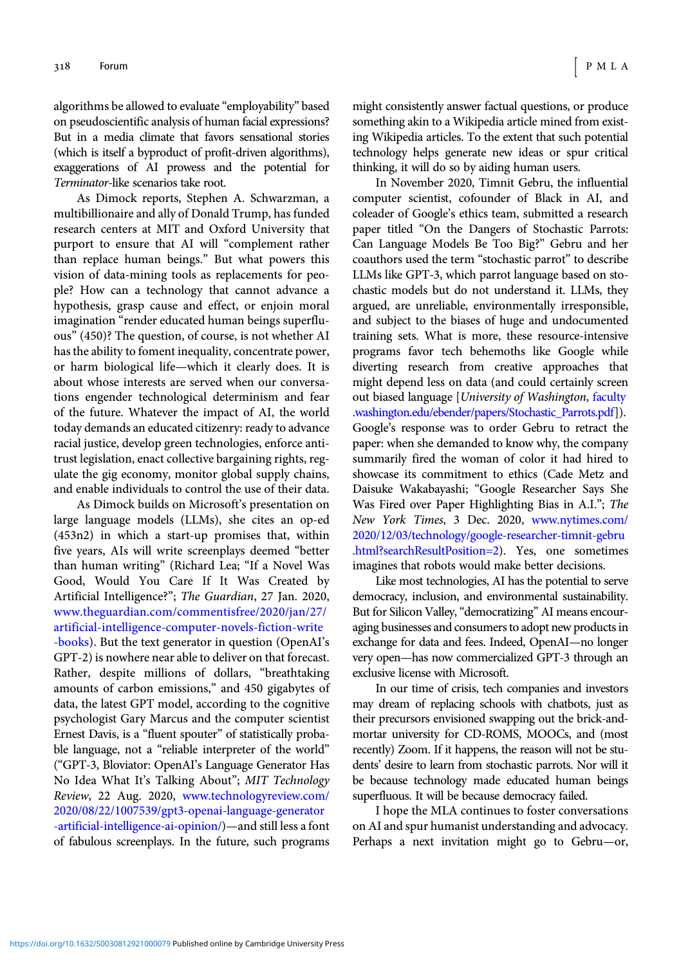algorithms be allowed to evaluate "employability" based on pseudoscientific analysis of human facial expressions? But in a media climate that favors sensational stories (which is itself a byproduct of profit-driven algorithms), exaggerations of AI prowess and the potential for Terminator-like scenarios take root.

As Dimock reports, Stephen A. Schwarzman, a multibillionaire and ally of Donald Trump, has funded research centers at MIT and Oxford University that purport to ensure that AI will "complement rather than replace human beings." But what powers this vision of data-mining tools as replacements for people? How can a technology that cannot advance a hypothesis, grasp cause and effect, or enjoin moral imagination "render educated human beings superfluous" (450)? The question, of course, is not whether AI has the ability to foment inequality, concentrate power, or harm biological life—which it clearly does. It is about whose interests are served when our conversations engender technological determinism and fear of the future. Whatever the impact of AI, the world today demands an educated citizenry: ready to advance racial justice, develop green technologies, enforce antitrust legislation, enact collective bargaining rights, regulate the gig economy, monitor global supply chains, and enable individuals to control the use of their data.

As Dimock builds on Microsoft's presentation on large language models (LLMs), she cites an op-ed (453n2) in which a start-up promises that, within five years, AIs will write screenplays deemed "better than human writing" (Richard Lea; "If a Novel Was Good, Would You Care If It Was Created by Artificial Intelligence?"; The Guardian, 27 Jan. 2020, [www.theguardian.com/commentisfree/2020/jan/27/](https://www.theguardian.com/commentisfree/2020/jan/27/artificial-intelligence-computer-novels-fiction-write-books) [artificial-intelligence-computer-novels-fiction-write](https://www.theguardian.com/commentisfree/2020/jan/27/artificial-intelligence-computer-novels-fiction-write-books) [-books\)](https://www.theguardian.com/commentisfree/2020/jan/27/artificial-intelligence-computer-novels-fiction-write-books). But the text generator in question (OpenAI's GPT-2) is nowhere near able to deliver on that forecast. Rather, despite millions of dollars, "breathtaking amounts of carbon emissions," and 450 gigabytes of data, the latest GPT model, according to the cognitive psychologist Gary Marcus and the computer scientist Ernest Davis, is a "fluent spouter" of statistically probable language, not a "reliable interpreter of the world" ("GPT-3, Bloviator: OpenAI's Language Generator Has No Idea What It's Talking About"; MIT Technology Review, 22 Aug. 2020, [www.technologyreview.com/](https://www.technologyreview.com/2020/08/22/1007539/gpt3-openai-language-generator-artificial-intelligence-ai-opinion/) [2020/08/22/1007539/gpt3-openai-language-generator](https://www.technologyreview.com/2020/08/22/1007539/gpt3-openai-language-generator-artificial-intelligence-ai-opinion/) [-artificial-intelligence-ai-opinion/\)](https://www.technologyreview.com/2020/08/22/1007539/gpt3-openai-language-generator-artificial-intelligence-ai-opinion/)—and still less a font of fabulous screenplays. In the future, such programs might consistently answer factual questions, or produce something akin to a Wikipedia article mined from existing Wikipedia articles. To the extent that such potential technology helps generate new ideas or spur critical thinking, it will do so by aiding human users.

In November 2020, Timnit Gebru, the influential computer scientist, cofounder of Black in AI, and coleader of Google's ethics team, submitted a research paper titled "On the Dangers of Stochastic Parrots: Can Language Models Be Too Big?" Gebru and her coauthors used the term "stochastic parrot" to describe LLMs like GPT-3, which parrot language based on stochastic models but do not understand it. LLMs, they argued, are unreliable, environmentally irresponsible, and subject to the biases of huge and undocumented training sets. What is more, these resource-intensive programs favor tech behemoths like Google while diverting research from creative approaches that might depend less on data (and could certainly screen out biased language [University of Washington, [faculty](https://www.faculty.washington.edu/ebender/papers/Stochastic_Parrots.pdf) [.washington.edu/ebender/papers/Stochastic\\_Parrots.pdf](https://www.faculty.washington.edu/ebender/papers/Stochastic_Parrots.pdf)]). Google's response was to order Gebru to retract the paper: when she demanded to know why, the company summarily fired the woman of color it had hired to showcase its commitment to ethics (Cade Metz and Daisuke Wakabayashi; "Google Researcher Says She Was Fired over Paper Highlighting Bias in A.I."; The New York Times, 3 Dec. 2020, [www.nytimes.com/](https://www.nytimes.com/2020/12/03/technology/google-researcher-timnit-gebru.html?searchResultPosition=2) [2020/12/03/technology/google-researcher-timnit-gebru](https://www.nytimes.com/2020/12/03/technology/google-researcher-timnit-gebru.html?searchResultPosition=2) [.html?searchResultPosition=2\)](https://www.nytimes.com/2020/12/03/technology/google-researcher-timnit-gebru.html?searchResultPosition=2). Yes, one sometimes imagines that robots would make better decisions.

Like most technologies, AI has the potential to serve democracy, inclusion, and environmental sustainability. But for Silicon Valley,"democratizing" AI means encouraging businesses and consumers to adopt new products in exchange for data and fees. Indeed, OpenAI—no longer very open—has now commercialized GPT-3 through an exclusive license with Microsoft.

In our time of crisis, tech companies and investors may dream of replacing schools with chatbots, just as their precursors envisioned swapping out the brick-andmortar university for CD-ROMS, MOOCs, and (most recently) Zoom. If it happens, the reason will not be students' desire to learn from stochastic parrots. Nor will it be because technology made educated human beings superfluous. It will be because democracy failed.

I hope the MLA continues to foster conversations on AI and spur humanist understanding and advocacy. Perhaps a next invitation might go to Gebru—or,